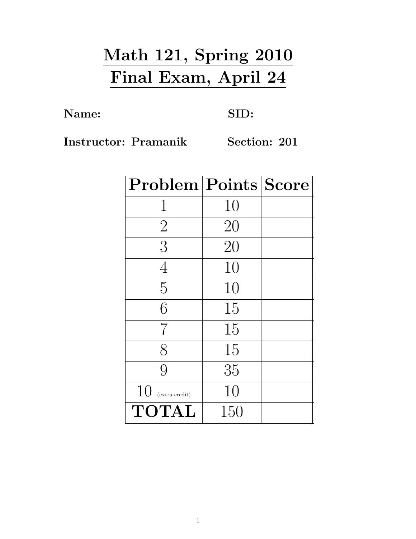## Math 121, Spring 2010 Final Exam, April 24

Name: SID:

Instructor: Pramanik Section: 201

| Problem   Points   Score |     |  |
|--------------------------|-----|--|
| 1                        | 10  |  |
| $\overline{2}$           | 20  |  |
| 3                        | 20  |  |
| $\overline{4}$           | 10  |  |
| 5                        | 10  |  |
| 6                        | 15  |  |
| 7                        | 15  |  |
| $8\,$                    | 15  |  |
| 9                        | 35  |  |
| 10<br>(extra credit)     | 10  |  |
| <b>TOTAL</b>             | 150 |  |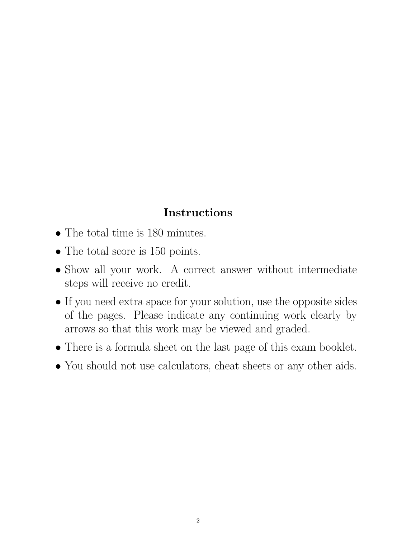## Instructions

- The total time is 180 minutes.
- The total score is 150 points.
- Show all your work. A correct answer without intermediate steps will receive no credit.
- If you need extra space for your solution, use the opposite sides of the pages. Please indicate any continuing work clearly by arrows so that this work may be viewed and graded.
- There is a formula sheet on the last page of this exam booklet.
- You should not use calculators, cheat sheets or any other aids.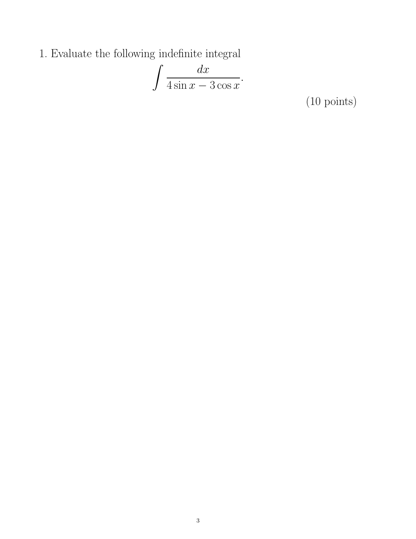1. Evaluate the following indefinite integral

$$
\int \frac{dx}{4\sin x - 3\cos x}.
$$

(10 points)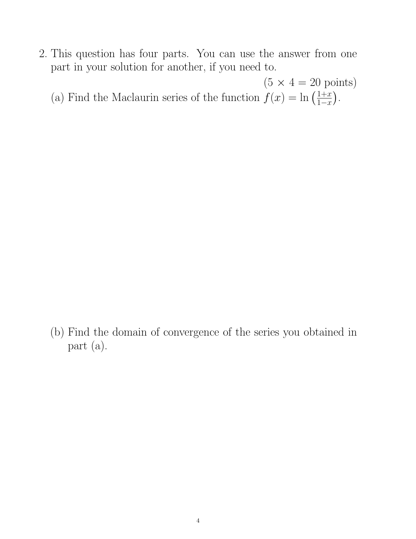- 2. This question has four parts. You can use the answer from one part in your solution for another, if you need to.
	- $(5 \times 4 = 20 \text{ points})$ (a) Find the Maclaurin series of the function  $f(x) = \ln \left( \frac{1+x}{1-x} \right)$  $rac{1+x}{1-x}$ .

(b) Find the domain of convergence of the series you obtained in part (a).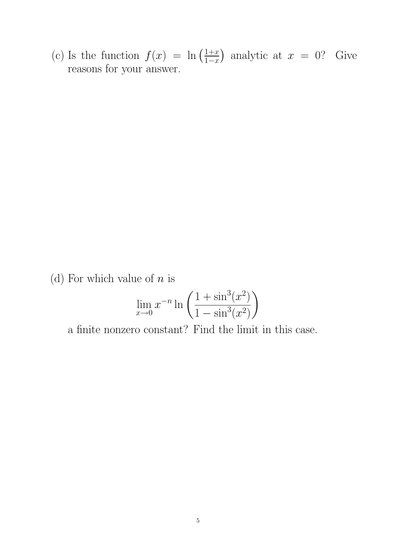(c) Is the function  $f(x) = \ln \left( \frac{1+x}{1-x} \right)$  $\frac{1+x}{1-x}$  analytic at  $x = 0$ ? Give reasons for your answer.

(d) For which value of  $n$  is

$$
\lim_{x \to 0} x^{-n} \ln \left( \frac{1 + \sin^3(x^2)}{1 - \sin^3(x^2)} \right)
$$

a finite nonzero constant? Find the limit in this case.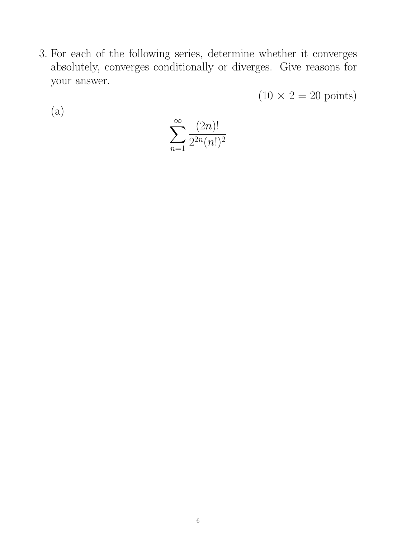3. For each of the following series, determine whether it converges absolutely, converges conditionally or diverges. Give reasons for your answer.

 $(10 \times 2 = 20 \text{ points})$ 

(a)

$$
\sum_{n=1}^{\infty} \frac{(2n)!}{2^{2n}(n!)^2}
$$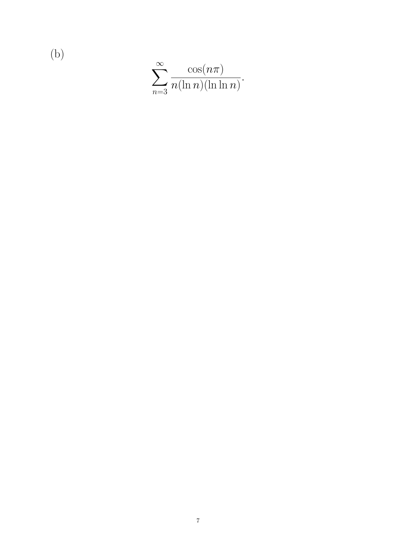$$
\sum_{n=3}^{\infty} \frac{\cos(n\pi)}{n(\ln n)(\ln \ln n)}.
$$

(b)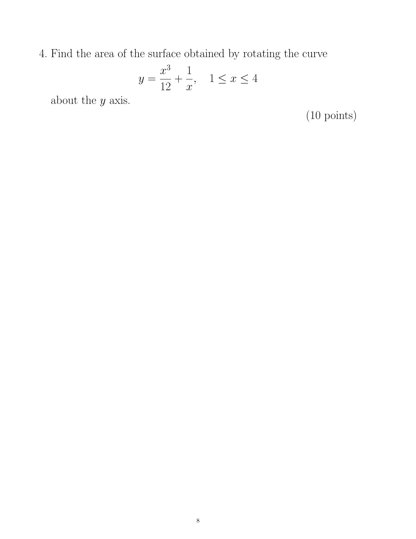4. Find the area of the surface obtained by rotating the curve

$$
y = \frac{x^3}{12} + \frac{1}{x}, \quad 1 \le x \le 4
$$

about the  $y$  axis.

(10 points)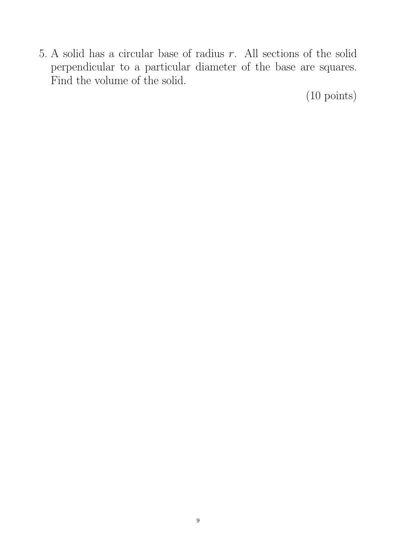5. A solid has a circular base of radius  $r$ . All sections of the solid perpendicular to a particular diameter of the base are squares. Find the volume of the solid.

(10 points)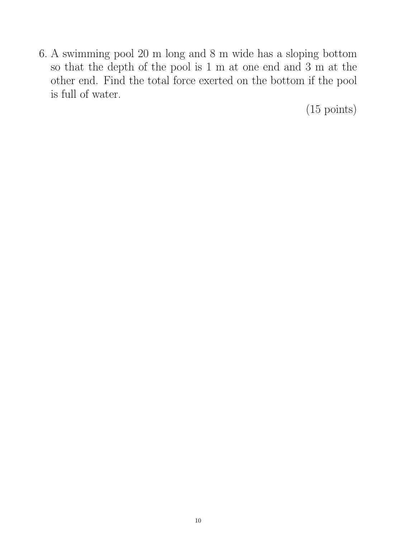6. A swimming pool 20 m long and 8 m wide has a sloping bottom so that the depth of the pool is 1 m at one end and 3 m at the other end. Find the total force exerted on the bottom if the pool is full of water.

(15 points)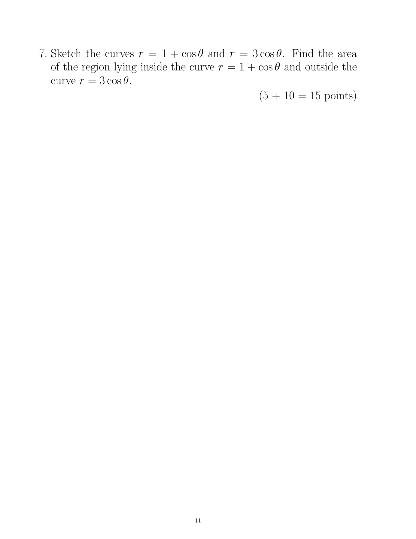7. Sketch the curves  $r = 1 + \cos \theta$  and  $r = 3 \cos \theta$ . Find the area of the region lying inside the curve  $r = 1 + \cos \theta$  and outside the curve  $r = 3 \cos \theta$ .

 $(5 + 10 = 15 \text{ points})$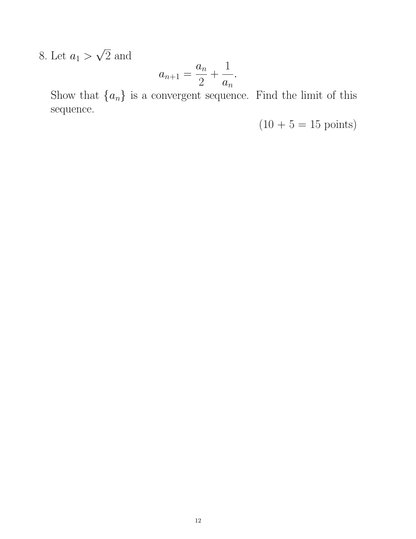8. Let  $a_1 >$ √ 2 and

$$
a_{n+1} = \frac{a_n}{2} + \frac{1}{a_n}.
$$

Show that  ${a_n}$  is a convergent sequence. Find the limit of this sequence.

 $(10 + 5 = 15 \text{ points})$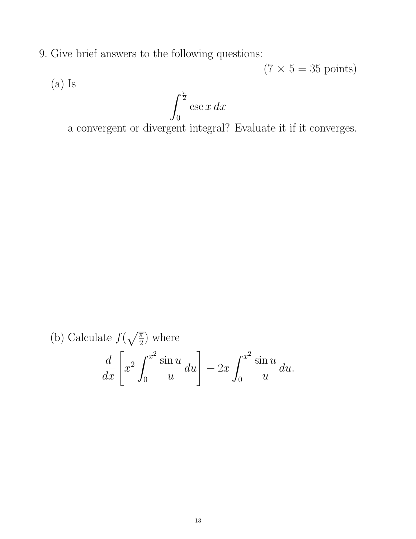9. Give brief answers to the following questions:

 $(7 \times 5 = 35 \text{ points})$ (a) Is  $\int_0^{\frac{\pi}{2}}$  $\csc x\,dx$ 

0

a convergent or divergent integral? Evaluate it if it converges.

(b) Calculate 
$$
f(\sqrt{\frac{\pi}{2}})
$$
 where  
\n
$$
\frac{d}{dx} \left[ x^2 \int_0^{x^2} \frac{\sin u}{u} du \right] - 2x \int_0^{x^2} \frac{\sin u}{u} du.
$$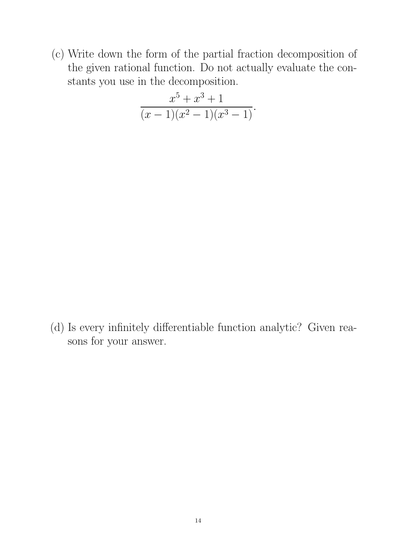(c) Write down the form of the partial fraction decomposition of the given rational function. Do not actually evaluate the constants you use in the decomposition.

$$
\frac{x^5 + x^3 + 1}{(x - 1)(x^2 - 1)(x^3 - 1)}.
$$

(d) Is every infinitely differentiable function analytic? Given reasons for your answer.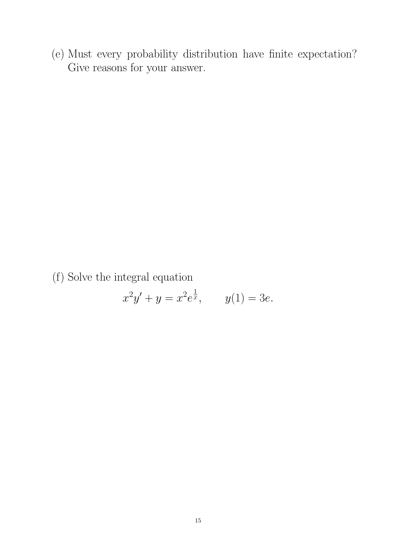(e) Must every probability distribution have finite expectation? Give reasons for your answer.

(f) Solve the integral equation

$$
x^2y' + y = x^2 e^{\frac{1}{x}}, \qquad y(1) = 3e.
$$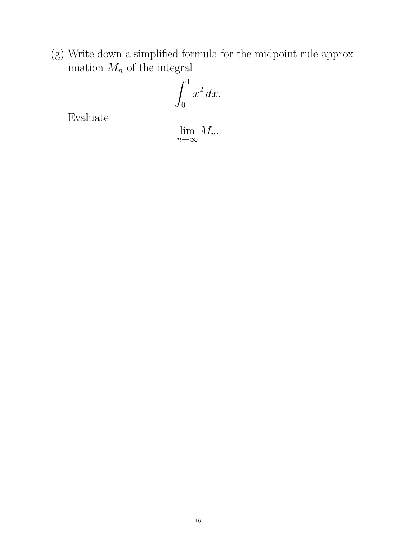(g) Write down a simplified formula for the midpoint rule approximation  $M_n$  of the integral

$$
\int_0^1 x^2 \, dx.
$$

Evaluate

lim  $\lim_{n\to\infty}M_n.$